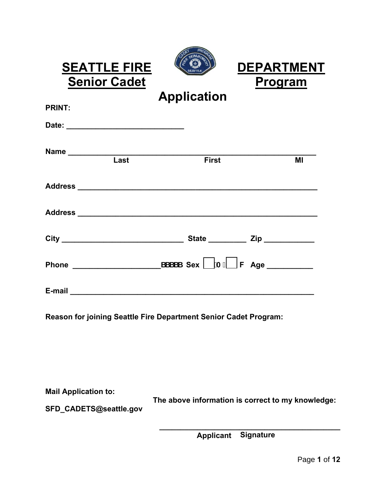| R۵             |  |
|----------------|--|
|                |  |
| <b>SEATTLE</b> |  |
|                |  |

**SEATTLE FIRE CEARTMENT**<br>
<u>Senior Cadet</u> **Program** 

**Application** 

| <b>PRINT:</b> |                   |                                                                                                                                                                                               |    |
|---------------|-------------------|-----------------------------------------------------------------------------------------------------------------------------------------------------------------------------------------------|----|
|               |                   |                                                                                                                                                                                               |    |
|               | Name <u> Last</u> | <b>First</b>                                                                                                                                                                                  | MI |
|               |                   |                                                                                                                                                                                               |    |
|               |                   |                                                                                                                                                                                               |    |
|               |                   |                                                                                                                                                                                               |    |
|               |                   | $SSSSS$ Sex $A$ $F$ Age                                                                                                                                                                       |    |
|               |                   | E-mail <b>E-mail E-mail E-mail <b>E-mail E-mail E-mail E-mail E-mail E-mail E-mail E-mail E-mail E-mail E-mail E-mail E-mail E-mail E-mail E-mail E-mail E-mail E-mail E-mail E-mail</b> </b> |    |
|               |                   |                                                                                                                                                                                               |    |

**Reason for joining Seattle Fire Department Senior Cadet Program:** 

**Mail Application to:** 

 **The above information is correct to my knowledge:**

**SFD\_CADETS@seattle.gov** 

**Senior Cadet** 

**\_\_\_\_\_\_\_\_\_\_\_\_\_\_\_\_\_\_\_\_\_\_\_\_\_\_\_\_\_\_\_\_\_\_\_\_\_\_\_\_\_\_\_ Applicant Signature**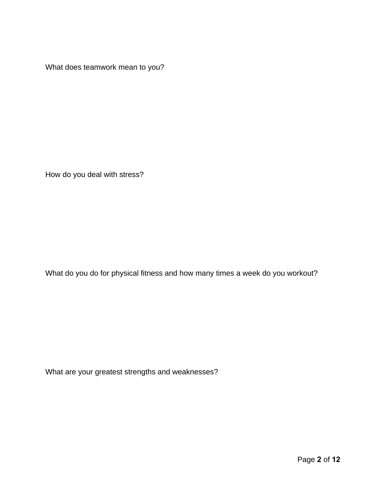What does teamwork mean to you?

How do you deal with stress?

What do you do for physical fitness and how many times a week do you workout?

What are your greatest strengths and weaknesses?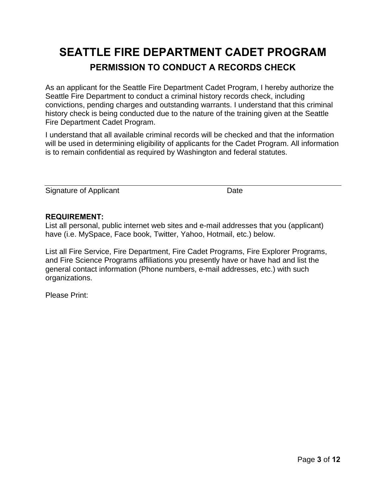# **SEATTLE FIRE DEPARTMENT CADET PROGRAM PERMISSION TO CONDUCT A RECORDS CHECK**

As an applicant for the Seattle Fire Department Cadet Program, I hereby authorize the Seattle Fire Department to conduct a criminal history records check, including convictions, pending charges and outstanding warrants. I understand that this criminal history check is being conducted due to the nature of the training given at the Seattle Fire Department Cadet Program.

I understand that all available criminal records will be checked and that the information will be used in determining eligibility of applicants for the Cadet Program. All information is to remain confidential as required by Washington and federal statutes.

Signature of Applicant Date Date

### **REQUIREMENT:**

List all personal, public internet web sites and e-mail addresses that you (applicant) have (i.e. MySpace, Face book, Twitter, Yahoo, Hotmail, etc.) below.

List all Fire Service, Fire Department, Fire Cadet Programs, Fire Explorer Programs, and Fire Science Programs affiliations you presently have or have had and list the general contact information (Phone numbers, e-mail addresses, etc.) with such organizations.

Please Print: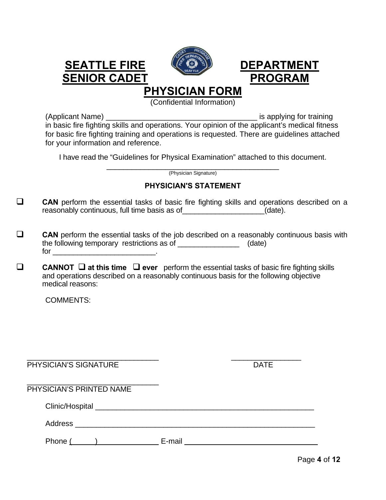

# **SEATTLE FIRE (COUP)** DEPARTMENT SENIOR CADET PROGRAM

# **PHYSICIAN FORM**

(Confidential Information)

(Applicant Name) \_\_\_\_\_\_\_\_\_\_\_\_\_\_\_\_\_\_\_\_\_\_\_\_\_\_\_\_\_\_\_\_\_\_\_\_ is applying for training in basic fire fighting skills and operations. Your opinion of the applicant's medical fitness for basic fire fighting training and operations is requested. There are guidelines attached for your information and reference.

I have read the "Guidelines for Physical Examination" attached to this document.

\_\_\_\_\_\_\_\_\_\_\_\_\_\_\_\_\_\_\_\_\_\_\_\_\_\_\_\_\_\_\_\_\_\_\_\_\_\_\_\_\_ (Physician Signature)

## **PHYSICIAN'S STATEMENT**

- **CAN** perform the essential tasks of basic fire fighting skills and operations described on a reasonably continuous, full time basis as of \_\_\_\_\_\_\_\_\_\_\_\_\_\_\_\_\_\_\_\_(date).
- **CAN** perform the essential tasks of the job described on a reasonably continuous basis with the following temporary restrictions as of \_\_\_\_\_\_\_\_\_\_\_\_\_\_\_\_\_\_\_\_ (date) for \_\_\_\_\_\_\_\_\_\_\_\_\_\_\_\_\_\_\_\_\_\_\_\_\_.
- **CANNOT**  $\Box$  at this time  $\Box$  ever perform the essential tasks of basic fire fighting skills and operations described on a reasonably continuous basis for the following objective medical reasons:

COMMENTS:

| <b>PHYSICIAN'S SIGNATURE</b> | <b>DATE</b> |
|------------------------------|-------------|
| PHYSICIAN'S PRINTED NAME     |             |
|                              |             |
| Address                      |             |
| Phone (<br>$\mathbf{I}$      | E-mail      |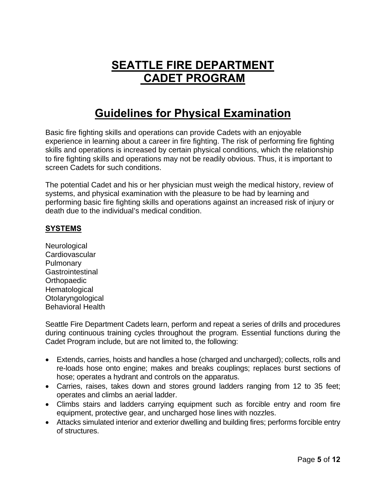# **SEATTLE FIRE DEPARTMENT CADET PROGRAM**

# **Guidelines for Physical Examination**

Basic fire fighting skills and operations can provide Cadets with an enjoyable experience in learning about a career in fire fighting. The risk of performing fire fighting skills and operations is increased by certain physical conditions, which the relationship to fire fighting skills and operations may not be readily obvious. Thus, it is important to screen Cadets for such conditions.

The potential Cadet and his or her physician must weigh the medical history, review of systems, and physical examination with the pleasure to be had by learning and performing basic fire fighting skills and operations against an increased risk of injury or death due to the individual's medical condition.

### **SYSTEMS**

**Neurological Cardiovascular Pulmonary Gastrointestinal Orthopaedic Hematological Otolaryngological** Behavioral Health

Seattle Fire Department Cadets learn, perform and repeat a series of drills and procedures during continuous training cycles throughout the program. Essential functions during the Cadet Program include, but are not limited to, the following:

- Extends, carries, hoists and handles a hose (charged and uncharged); collects, rolls and re-loads hose onto engine; makes and breaks couplings; replaces burst sections of hose; operates a hydrant and controls on the apparatus.
- Carries, raises, takes down and stores ground ladders ranging from 12 to 35 feet; operates and climbs an aerial ladder.
- Climbs stairs and ladders carrying equipment such as forcible entry and room fire equipment, protective gear, and uncharged hose lines with nozzles.
- Attacks simulated interior and exterior dwelling and building fires; performs forcible entry of structures.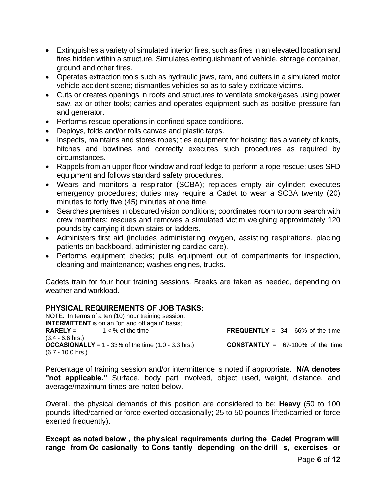- Extinguishes a variety of simulated interior fires, such as fires in an elevated location and fires hidden within a structure. Simulates extinguishment of vehicle, storage container, ground and other fires.
- Operates extraction tools such as hydraulic jaws, ram, and cutters in a simulated motor vehicle accident scene; dismantles vehicles so as to safely extricate victims.
- Cuts or creates openings in roofs and structures to ventilate smoke/gases using power saw, ax or other tools; carries and operates equipment such as positive pressure fan and generator.
- Performs rescue operations in confined space conditions.
- Deploys, folds and/or rolls canvas and plastic tarps.
- Inspects, maintains and stores ropes; ties equipment for hoisting; ties a variety of knots, hitches and bowlines and correctly executes such procedures as required by circumstances.
- Rappels from an upper floor window and roof ledge to perform a rope rescue; uses SFD equipment and follows standard safety procedures.
- Wears and monitors a respirator (SCBA); replaces empty air cylinder; executes emergency procedures; duties may require a Cadet to wear a SCBA twenty (20) minutes to forty five (45) minutes at one time.
- Searches premises in obscured vision conditions; coordinates room to room search with crew members; rescues and removes a simulated victim weighing approximately 120 pounds by carrying it down stairs or ladders.
- Administers first aid (includes administering oxygen, assisting respirations, placing patients on backboard, administering cardiac care).
- Performs equipment checks; pulls equipment out of compartments for inspection, cleaning and maintenance; washes engines, trucks.

Cadets train for four hour training sessions. Breaks are taken as needed, depending on weather and workload.

### **PHYSICAL REQUIREMENTS OF JOB TASKS:**

NOTE: In terms of a ten (10) hour training session: **INTERMITTENT** is on an  $\overline{a}$  on and off again" basis;<br>**RARELY** =  $1 < %$  of the time **FREQUENTLY** =  $34 - 66%$  of the time (3.4 - 6.6 hrs.) **OCCASIONALLY** =  $1 - 33\%$  of the time  $(1.0 - 3.3 \text{ hrs.})$  **CONSTANTLY** =  $67-100\%$  of the time (6.7 - 10.0 hrs.)

Percentage of training session and/or intermittence is noted if appropriate. **N/A denotes "not applicable."** Surface, body part involved, object used, weight, distance, and average/maximum times are noted below.

Overall, the physical demands of this position are considered to be: **Heavy** (50 to 100 pounds lifted/carried or force exerted occasionally; 25 to 50 pounds lifted/carried or force exerted frequently).

**Except as noted below , the physical requirements during the Cadet Program will range from Oc casionally to Cons tantly depending on the drill s, exercises or**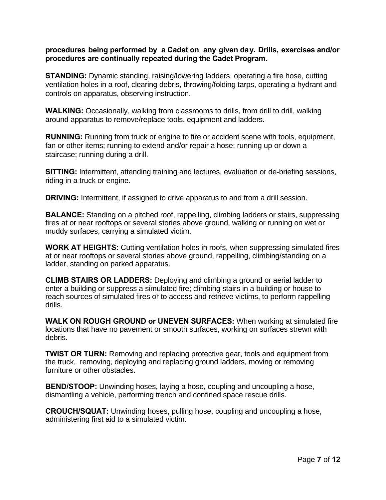#### **procedures being performed by a Cadet on any given day. Drills, exercises and/or procedures are continually repeated during the Cadet Program.**

**STANDING:** Dynamic standing, raising/lowering ladders, operating a fire hose, cutting ventilation holes in a roof, clearing debris, throwing/folding tarps, operating a hydrant and controls on apparatus, observing instruction.

WALKING: Occasionally, walking from classrooms to drills, from drill to drill, walking around apparatus to remove/replace tools, equipment and ladders.

**RUNNING:** Running from truck or engine to fire or accident scene with tools, equipment, fan or other items; running to extend and/or repair a hose; running up or down a staircase; running during a drill.

**SITTING:** Intermittent, attending training and lectures, evaluation or de-briefing sessions, riding in a truck or engine.

**DRIVING:** Intermittent, if assigned to drive apparatus to and from a drill session.

**BALANCE:** Standing on a pitched roof, rappelling, climbing ladders or stairs, suppressing fires at or near rooftops or several stories above ground, walking or running on wet or muddy surfaces, carrying a simulated victim.

**WORK AT HEIGHTS:** Cutting ventilation holes in roofs, when suppressing simulated fires at or near rooftops or several stories above ground, rappelling, climbing/standing on a ladder, standing on parked apparatus.

**CLIMB STAIRS OR LADDERS:** Deploying and climbing a ground or aerial ladder to enter a building or suppress a simulated fire; climbing stairs in a building or house to reach sources of simulated fires or to access and retrieve victims, to perform rappelling drills.

**WALK ON ROUGH GROUND or UNEVEN SURFACES:** When working at simulated fire locations that have no pavement or smooth surfaces, working on surfaces strewn with debris.

**TWIST OR TURN:** Removing and replacing protective gear, tools and equipment from the truck, removing, deploying and replacing ground ladders, moving or removing furniture or other obstacles.

**BEND/STOOP:** Unwinding hoses, laying a hose, coupling and uncoupling a hose, dismantling a vehicle, performing trench and confined space rescue drills.

**CROUCH/SQUAT:** Unwinding hoses, pulling hose, coupling and uncoupling a hose, administering first aid to a simulated victim.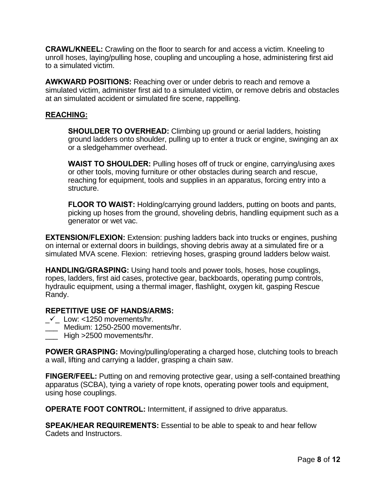**CRAWL/KNEEL:** Crawling on the floor to search for and access a victim. Kneeling to unroll hoses, laying/pulling hose, coupling and uncoupling a hose, administering first aid to a simulated victim.

**AWKWARD POSITIONS:** Reaching over or under debris to reach and remove a simulated victim, administer first aid to a simulated victim, or remove debris and obstacles at an simulated accident or simulated fire scene, rappelling.

#### **REACHING:**

**SHOULDER TO OVERHEAD:** Climbing up ground or aerial ladders, hoisting ground ladders onto shoulder, pulling up to enter a truck or engine, swinging an ax or a sledgehammer overhead.

**WAIST TO SHOULDER:** Pulling hoses off of truck or engine, carrying/using axes or other tools, moving furniture or other obstacles during search and rescue, reaching for equipment, tools and supplies in an apparatus, forcing entry into a structure.

**FLOOR TO WAIST:** Holding/carrying ground ladders, putting on boots and pants, picking up hoses from the ground, shoveling debris, handling equipment such as a generator or wet vac.

**EXTENSION/FLEXION:** Extension: pushing ladders back into trucks or engines, pushing on internal or external doors in buildings, shoving debris away at a simulated fire or a simulated MVA scene. Flexion: retrieving hoses, grasping ground ladders below waist.

**HANDLING/GRASPING:** Using hand tools and power tools, hoses, hose couplings, ropes, ladders, first aid cases, protective gear, backboards, operating pump controls, hydraulic equipment, using a thermal imager, flashlight, oxygen kit, gasping Rescue Randy.

#### **REPETITIVE USE OF HANDS/ARMS:**

- $\mathcal{N}_-$  Low: <1250 movements/hr.
- \_\_\_ Medium: 1250-2500 movements/hr.
- High >2500 movements/hr.

**POWER GRASPING:** Moving/pulling/operating a charged hose, clutching tools to breach a wall, lifting and carrying a ladder, grasping a chain saw.

**FINGER/FEEL:** Putting on and removing protective gear, using a self-contained breathing apparatus (SCBA), tying a variety of rope knots, operating power tools and equipment, using hose couplings.

**OPERATE FOOT CONTROL:** Intermittent, if assigned to drive apparatus.

**SPEAK/HEAR REQUIREMENTS:** Essential to be able to speak to and hear fellow Cadets and Instructors.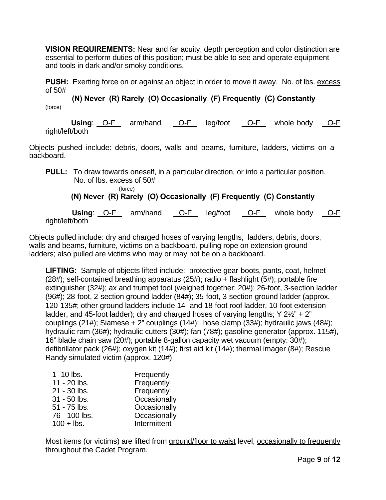**VISION REQUIREMENTS:** Near and far acuity, depth perception and color distinction are essential to perform duties of this position; must be able to see and operate equipment and tools in dark and/or smoky conditions.

**PUSH:** Exerting force on or against an object in order to move it away. No. of lbs. excess of 50#

**(N) Never (R) Rarely (O) Occasionally (F) Frequently (C) Constantly** (force)

**Using:** O-F arm/hand O-F leg/foot O-F whole body O-F right/left/both

Objects pushed include: debris, doors, walls and beams, furniture, ladders, victims on a backboard.

**PULL:** To draw towards oneself, in a particular direction, or into a particular position. No. of lbs. excess of 50#

(force)

## **(N) Never (R) Rarely (O) Occasionally (F) Frequently (C) Constantly**

Using: O-F arm/hand O-F leg/foot O-F whole body O-F right/left/both

Objects pulled include: dry and charged hoses of varying lengths, ladders, debris, doors, walls and beams, furniture, victims on a backboard, pulling rope on extension ground ladders; also pulled are victims who may or may not be on a backboard.

**LIFTING:** Sample of objects lifted include: protective gear-boots, pants, coat, helmet (28#); self-contained breathing apparatus (25#); radio + flashlight (5#); portable fire extinguisher (32#); ax and trumpet tool (weighed together: 20#); 26-foot, 3-section ladder (96#); 28-foot, 2-section ground ladder (84#); 35-foot, 3-section ground ladder (approx. 120-135#; other ground ladders include 14- and 18-foot roof ladder, 10-foot extension ladder, and 45-foot ladder); dry and charged hoses of varying lengths; Y 2½" + 2" couplings (21#); Siamese + 2" couplings (14#); hose clamp (33#); hydraulic jaws (48#); hydraulic ram (36#); hydraulic cutters (30#); fan (78#); gasoline generator (approx. 115#), 16" blade chain saw (20#); portable 8-gallon capacity wet vacuum (empty: 30#); defibrillator pack (26#); oxygen kit (14#); first aid kit (14#); thermal imager (8#); Rescue Randy simulated victim (approx. 120#)

| $1 - 10$ lbs.  | Frequently   |
|----------------|--------------|
| 11 - 20 lbs.   | Frequently   |
| 21 - 30 lbs.   | Frequently   |
| $31 - 50$ lbs. | Occasionally |
| 51 - 75 lbs.   | Occasionally |
| 76 - 100 lbs.  | Occasionally |
| $100 +$ lbs.   | Intermittent |

Most items (or victims) are lifted from ground/floor to waist level, occasionally to frequently throughout the Cadet Program.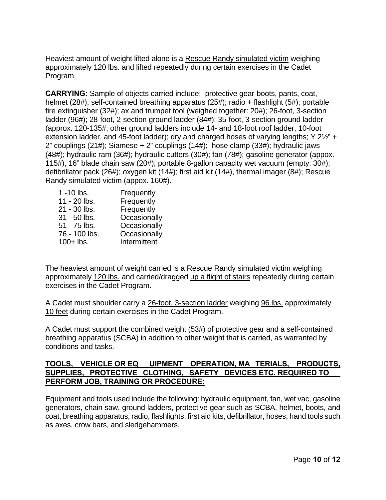Heaviest amount of weight lifted alone is a Rescue Randy simulated victim weighing approximately 120 lbs. and lifted repeatedly during certain exercises in the Cadet Program.

**CARRYING:** Sample of objects carried include: protective gear-boots, pants, coat, helmet (28#); self-contained breathing apparatus (25#); radio + flashlight (5#); portable fire extinguisher (32#); ax and trumpet tool (weighed together: 20#); 26-foot, 3-section ladder (96#); 28-foot, 2-section ground ladder (84#); 35-foot, 3-section ground ladder (approx. 120-135#; other ground ladders include 14- and 18-foot roof ladder, 10-foot extension ladder, and 45-foot ladder); dry and charged hoses of varying lengths; Y 2½" + 2" couplings (21#); Siamese + 2" couplings (14#); hose clamp (33#); hydraulic jaws (48#); hydraulic ram (36#); hydraulic cutters (30#); fan (78#); gasoline generator (appox. 115#), 16" blade chain saw (20#); portable 8-gallon capacity wet vacuum (empty: 30#); defibrillator pack (26#); oxygen kit (14#); first aid kit (14#), thermal imager (8#); Rescue Randy simulated victim (appox. 160#).

| 1 -10 lbs.    | Frequently   |
|---------------|--------------|
| 11 - 20 lbs.  | Frequently   |
| 21 - 30 lbs.  | Frequently   |
| 31 - 50 lbs.  | Occasionally |
| 51 - 75 lbs.  | Occasionally |
| 76 - 100 lbs. | Occasionally |
| $100+$ lbs.   | Intermittent |

The heaviest amount of weight carried is a Rescue Randy simulated victim weighing approximately 120 lbs. and carried/dragged up a flight of stairs repeatedly during certain exercises in the Cadet Program.

A Cadet must shoulder carry a 26-foot, 3-section ladder weighing 96 lbs. approximately 10 feet during certain exercises in the Cadet Program.

A Cadet must support the combined weight (53#) of protective gear and a self-contained breathing apparatus (SCBA) in addition to other weight that is carried, as warranted by conditions and tasks.

#### **TOOLS, VEHICLE OR EQ UIPMENT OPERATION, MA TERIALS, PRODUCTS, SUPPLIES, PROTECTIVE CLOTHING, SAFETY DEVICES ETC. REQUIRED TO PERFORM JOB, TRAINING OR PROCEDURE:**

Equipment and tools used include the following: hydraulic equipment, fan, wet vac, gasoline generators, chain saw, ground ladders, protective gear such as SCBA, helmet, boots, and coat, breathing apparatus, radio, flashlights, first aid kits, defibrillator, hoses; hand tools such as axes, crow bars, and sledgehammers.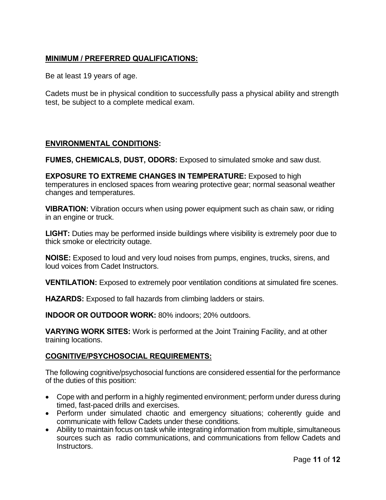## **MINIMUM / PREFERRED QUALIFICATIONS:**

Be at least 19 years of age.

Cadets must be in physical condition to successfully pass a physical ability and strength test, be subject to a complete medical exam.

### **ENVIRONMENTAL CONDITIONS:**

**FUMES, CHEMICALS, DUST, ODORS:** Exposed to simulated smoke and saw dust.

**EXPOSURE TO EXTREME CHANGES IN TEMPERATURE:** Exposed to high temperatures in enclosed spaces from wearing protective gear; normal seasonal weather changes and temperatures.

**VIBRATION:** Vibration occurs when using power equipment such as chain saw, or riding in an engine or truck.

**LIGHT:** Duties may be performed inside buildings where visibility is extremely poor due to thick smoke or electricity outage.

**NOISE:** Exposed to loud and very loud noises from pumps, engines, trucks, sirens, and loud voices from Cadet Instructors.

**VENTILATION:** Exposed to extremely poor ventilation conditions at simulated fire scenes.

**HAZARDS:** Exposed to fall hazards from climbing ladders or stairs.

**INDOOR OR OUTDOOR WORK:** 80% indoors; 20% outdoors.

**VARYING WORK SITES:** Work is performed at the Joint Training Facility, and at other training locations.

### **COGNITIVE/PSYCHOSOCIAL REQUIREMENTS:**

The following cognitive/psychosocial functions are considered essential for the performance of the duties of this position:

- Cope with and perform in a highly regimented environment; perform under duress during timed, fast-paced drills and exercises.
- Perform under simulated chaotic and emergency situations; coherently guide and communicate with fellow Cadets under these conditions.
- Ability to maintain focus on task while integrating information from multiple, simultaneous sources such as radio communications, and communications from fellow Cadets and Instructors.